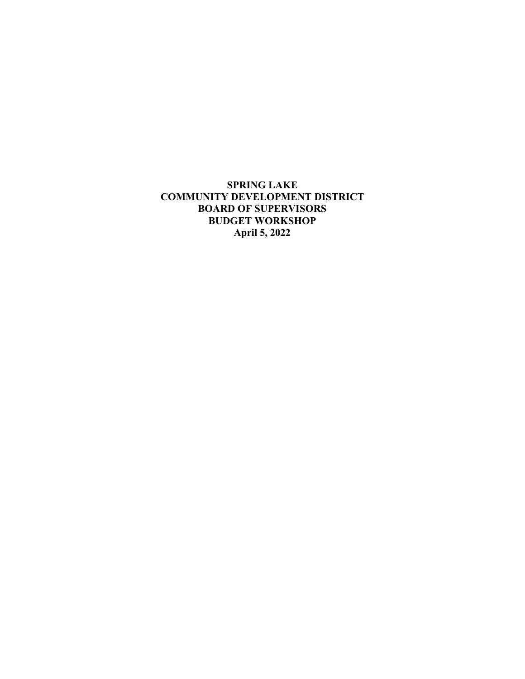**SPRING LAKE COMMUNITY DEVELOPMENT DISTRICT BOARD OF SUPERVISORS BUDGET WORKSHOP April 5, 2022**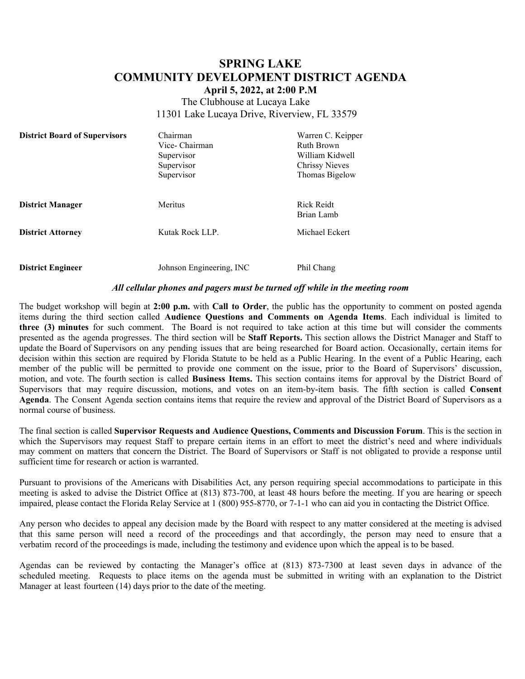# **SPRING LAKE COMMUNITY DEVELOPMENT DISTRICT AGENDA**

**April 5, 2022, at 2:00 P.M**

The Clubhouse at Lucaya Lake 11301 Lake Lucaya Drive, Riverview, FL 33579

| <b>District Board of Supervisors</b> | Chairman<br>Vice- Chairman<br>Supervisor<br>Supervisor<br>Supervisor | Warren C. Keipper<br><b>Ruth Brown</b><br>William Kidwell<br>Chrissy Nieves<br>Thomas Bigelow |
|--------------------------------------|----------------------------------------------------------------------|-----------------------------------------------------------------------------------------------|
| <b>District Manager</b>              | Meritus                                                              | Rick Reidt<br>Brian Lamb                                                                      |
| <b>District Attorney</b>             | Kutak Rock LLP.                                                      | Michael Eckert                                                                                |
| <b>District Engineer</b>             | Johnson Engineering, INC                                             | Phil Chang                                                                                    |

#### *All cellular phones and pagers must be turned off while in the meeting room*

The budget workshop will begin at **2:00 p.m.** with **Call to Order**, the public has the opportunity to comment on posted agenda items during the third section called **Audience Questions and Comments on Agenda Items**. Each individual is limited to **three (3) minutes** for such comment. The Board is not required to take action at this time but will consider the comments presented as the agenda progresses. The third section will be **Staff Reports.** This section allows the District Manager and Staff to update the Board of Supervisors on any pending issues that are being researched for Board action. Occasionally, certain items for decision within this section are required by Florida Statute to be held as a Public Hearing. In the event of a Public Hearing, each member of the public will be permitted to provide one comment on the issue, prior to the Board of Supervisors' discussion, motion, and vote. The fourth section is called **Business Items.** This section contains items for approval by the District Board of Supervisors that may require discussion, motions, and votes on an item-by-item basis. The fifth section is called **Consent Agenda**. The Consent Agenda section contains items that require the review and approval of the District Board of Supervisors as a normal course of business.

The final section is called **Supervisor Requests and Audience Questions, Comments and Discussion Forum**. This is the section in which the Supervisors may request Staff to prepare certain items in an effort to meet the district's need and where individuals may comment on matters that concern the District. The Board of Supervisors or Staff is not obligated to provide a response until sufficient time for research or action is warranted.

Pursuant to provisions of the Americans with Disabilities Act, any person requiring special accommodations to participate in this meeting is asked to advise the District Office at (813) 873-700, at least 48 hours before the meeting. If you are hearing or speech impaired, please contact the Florida Relay Service at 1 (800) 955-8770, or 7-1-1 who can aid you in contacting the District Office.

Any person who decides to appeal any decision made by the Board with respect to any matter considered at the meeting is advised that this same person will need a record of the proceedings and that accordingly, the person may need to ensure that a verbatim record of the proceedings is made, including the testimony and evidence upon which the appeal is to be based.

Agendas can be reviewed by contacting the Manager's office at (813) 873-7300 at least seven days in advance of the scheduled meeting. Requests to place items on the agenda must be submitted in writing with an explanation to the District Manager at least fourteen (14) days prior to the date of the meeting.